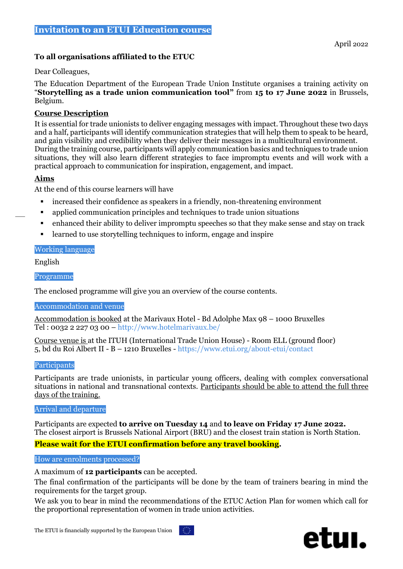# **Invitation to an ETUI Education course**

# **To all organisations affiliated to the ETUC**

Dear Colleagues,

The Education Department of the European Trade Union Institute organises a training activity on "**Storytelling as a trade union communication tool"** from **15 to 17 June 2022** in Brussels, Belgium.

## **Course Description**

It is essential for trade unionists to deliver engaging messages with impact. Throughout these two days and a half, participants will identify communication strategies that will help them to speak to be heard, and gain visibility and credibility when they deliver their messages in a multicultural environment. During the training course, participants will apply communication basics and techniques to trade union situations, they will also learn different strategies to face impromptu events and will work with a practical approach to communication for inspiration, engagement, and impact.

## **Aims**

At the end of this course learners will have

- increased their confidence as speakers in a friendly, non-threatening environment
- applied communication principles and techniques to trade union situations
- enhanced their ability to deliver impromptu speeches so that they make sense and stay on track
- learned to use storytelling techniques to inform, engage and inspire

### Working language

English

Programme

The enclosed programme will give you an overview of the course contents.

### Accommodation and venue

Accommodation is booked at the Marivaux Hotel - Bd Adolphe Max 98 – 1000 Bruxelles Tel : 0032 2 227 03 00 – http://www.hotelmarivaux.be/

Course venue is at the ITUH (International Trade Union House) - Room ELL (ground floor) 5, bd du Roi Albert II - B – 1210 Bruxelles - https://www.etui.org/about-etui/contact

### Participants

Participants are trade unionists, in particular young officers, dealing with complex conversational situations in national and transnational contexts. Participants should be able to attend the full three days of the training.

#### Arrival and departure

Participants are expected **to arrive on Tuesday 14** and **to leave on Friday 17 June 2022.** The closest airport is Brussels National Airport (BRU) and the closest train station is North Station.

**Please wait for the ETUI confirmation before any travel booking.**

### How are enrolments processed?

A maximum of **12 participants** can be accepted.

The final confirmation of the participants will be done by the team of trainers bearing in mind the requirements for the target group.

We ask you to bear in mind the recommendations of the ETUC Action Plan for women which call for the proportional representation of women in trade union activities.



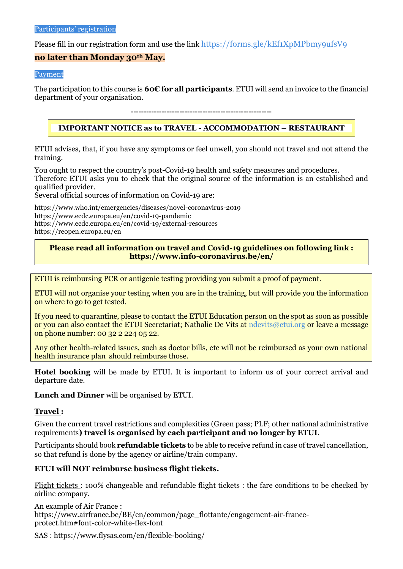Please fill in our registration form and use the link <https://forms.gle/kEf1XpMPbmy9ufsV9>

## **no later than Monday 30th May.**

#### Payment

The participation to this course is **60€ for all participants**. ETUI will send an invoice to the financial department of your organisation.

#### **-------------------------------------------------------**

# **IMPORTANT NOTICE as to TRAVEL - ACCOMMODATION – RESTAURANT**

ETUI advises, that, if you have any symptoms or feel unwell, you should not travel and not attend the training.

You ought to respect the country's post-Covid-19 health and safety measures and procedures. Therefore ETUI asks you to check that the original source of the information is an established and qualified provider.

Several official sources of information on Covid-19 are:

<https://www.who.int/emergencies/diseases/novel-coronavirus-2019> <https://www.ecdc.europa.eu/en/covid-19-pandemic> https://www.ecdc.europa.eu/en/covid-19/external-resources <https://reopen.europa.eu/en>

### **Please read all information on travel and Covid-19 guidelines on following link : <https://www.info-coronavirus.be/en/>**

ETUI is reimbursing PCR or antigenic testing providing you submit a proof of payment.

ETUI will not organise your testing when you are in the training, but will provide you the information on where to go to get tested.

If you need to quarantine, please to contact the ETUI Education person on the spot as soon as possible or you can also contact the ETUI Secretariat; Nathalie De Vits at [ndevits@etui.org](mailto:ndevits@etui.org) or leave a message on phone number: 00 32 2 224 05 22.

Any other health-related issues, such as doctor bills, etc will not be reimbursed as your own national health insurance plan should reimburse those.

**Hotel booking** will be made by ETUI. It is important to inform us of your correct arrival and departure date.

**Lunch and Dinner** will be organised by ETUI.

### **Travel :**

Given the current travel restrictions and complexities (Green pass; PLF; other national administrative requirements**) travel is organised by each participant and no longer by ETUI**.

Participants should book **refundable tickets** to be able to receive refund in case of travel cancellation, so that refund is done by the agency or airline/train company.

## **ETUI will NOT reimburse business flight tickets.**

Flight tickets : 100% changeable and refundable flight tickets : the fare conditions to be checked by airline company.

An example of Air France : [https://www.airfrance.be/BE/en/common/page\\_flottante/engagement-air-france](https://www.airfrance.be/BE/en/common/page_flottante/engagement-air-france-protect.htm#font-color-white-flex-font)[protect.htm#font-color-white-flex-font](https://www.airfrance.be/BE/en/common/page_flottante/engagement-air-france-protect.htm#font-color-white-flex-font)

SAS :<https://www.flysas.com/en/flexible-booking/>